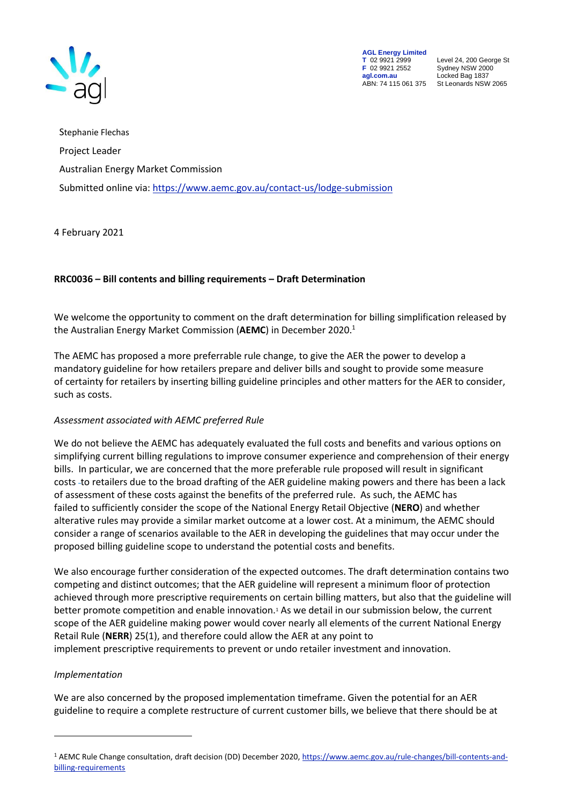

**AGL Energy Limited**<br> **T** 02 9921 2999<br> **F** 02 9921 2552 **F** 02 9921 2552 Sydney NSW 2000 **agl.com.au** Locked Bag 1837<br>ABN: 74 115 061 375 St Leonards NSW

**T** 02 9921 2999 Level 24, 200 George St St Leonards NSW 2065

Stephanie Flechas Project Leader Australian Energy Market Commission Submitted online via[: https://www.aemc.gov.au/contact-us/lodge-submission](https://www.aemc.gov.au/contact-us/lodge-submission)

4 February 2021

## **RRC0036 – Bill contents and billing requirements – Draft Determination**

We welcome the opportunity to comment on the draft determination for billing simplification released by the Australian Energy Market Commission (**AEMC**) in December 2020.<sup>1</sup>

The AEMC has proposed a more preferrable rule change, to give the AER the power to develop a mandatory guideline for how retailers prepare and deliver bills and sought to provide some measure of certainty for retailers by inserting billing guideline principles and other matters for the AER to consider, such as costs.

## *Assessment associated with AEMC preferred Rule*

We do not believe the AEMC has adequately evaluated the full costs and benefits and various options on simplifying current billing regulations to improve consumer experience and comprehension of their energy bills. In particular, we are concerned that the more preferable rule proposed will result in significant costs to retailers due to the broad drafting of the AER guideline making powers and there has been a lack of assessment of these costs against the benefits of the preferred rule. As such, the AEMC has failed to sufficiently consider the scope of the National Energy Retail Objective (**NERO**) and whether alterative rules may provide a similar market outcome at a lower cost. At a minimum, the AEMC should consider a range of scenarios available to the AER in developing the guidelines that may occur under the proposed billing guideline scope to understand the potential costs and benefits.

We also encourage further consideration of the expected outcomes. The draft determination contains two competing and distinct outcomes; that the AER guideline will represent a minimum floor of protection achieved through more prescriptive requirements on certain billing matters, but also that the guideline will better promote competition and enable innovation.<sup>1</sup> As we detail in our submission below, the current scope of the AER guideline making power would cover nearly all elements of the current National Energy Retail Rule (**NERR**) 25(1), and therefore could allow the AER at any point to implement prescriptive requirements to prevent or undo retailer investment and innovation.

#### *Implementation*

We are also concerned by the proposed implementation timeframe. Given the potential for an AER guideline to require a complete restructure of current customer bills, we believe that there should be at

<sup>1</sup> AEMC Rule Change consultation, draft decision (DD) December 2020[, https://www.aemc.gov.au/rule-changes/bill-contents-and](https://www.aemc.gov.au/rule-changes/bill-contents-and-billing-requirements)[billing-requirements](https://www.aemc.gov.au/rule-changes/bill-contents-and-billing-requirements)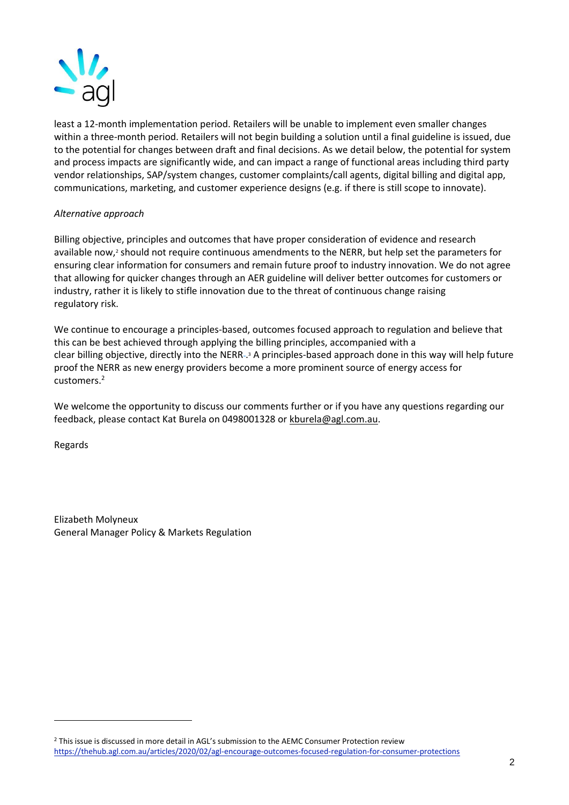

least a 12-month implementation period. Retailers will be unable to implement even smaller changes within a three-month period. Retailers will not begin building a solution until a final guideline is issued, due to the potential for changes between draft and final decisions. As we detail below, the potential for system and process impacts are significantly wide, and can impact a range of functional areas including third party vendor relationships, SAP/system changes, customer complaints/call agents, digital billing and digital app, communications, marketing, and customer experience designs (e.g. if there is still scope to innovate).

#### *Alternative approach*

Billing objective, principles and outcomes that have proper consideration of evidence and research available now,<sup>2</sup> should not require continuous amendments to the NERR, but help set the parameters for ensuring clear information for consumers and remain future proof to industry innovation. We do not agree that allowing for quicker changes through an AER guideline will deliver better outcomes for customers or industry, rather it is likely to stifle innovation due to the threat of continuous change raising regulatory risk.

We continue to encourage a principles-based, outcomes focused approach to regulation and believe that this can be best achieved through applying the billing principles, accompanied with a clear billing objective, directly into the NERR-3 A principles-based approach done in this way will help future proof the NERR as new energy providers become a more prominent source of energy access for customers.<sup>2</sup>

We welcome the opportunity to discuss our comments further or if you have any questions regarding our feedback, please contact Kat Burela on 0498001328 or [kburela@agl.com.au.](mailto:kburela@agl.com.au)

Regards

Elizabeth Molyneux General Manager Policy & Markets Regulation

<sup>&</sup>lt;sup>2</sup> This issue is discussed in more detail in AGL's submission to the AEMC Consumer Protection review <https://thehub.agl.com.au/articles/2020/02/agl-encourage-outcomes-focused-regulation-for-consumer-protections>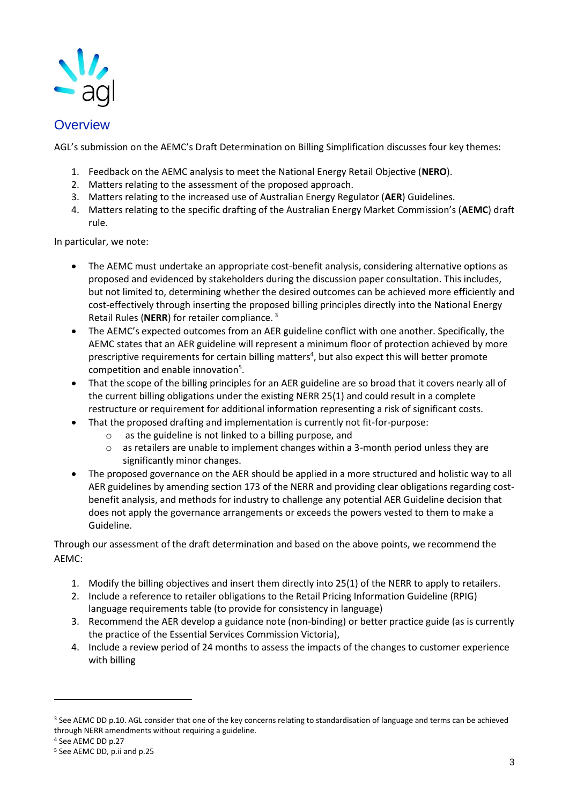

# **Overview**

AGL's submission on the AEMC's Draft Determination on Billing Simplification discusses four key themes:

- 1. Feedback on the AEMC analysis to meet the National Energy Retail Objective (**NERO**).
- 2. Matters relating to the assessment of the proposed approach.
- 3. Matters relating to the increased use of Australian Energy Regulator (**AER**) Guidelines.
- 4. Matters relating to the specific drafting of the Australian Energy Market Commission's (**AEMC**) draft rule.

In particular, we note:

- The AEMC must undertake an appropriate cost-benefit analysis, considering alternative options as proposed and evidenced by stakeholders during the discussion paper consultation. This includes, but not limited to, determining whether the desired outcomes can be achieved more efficiently and cost-effectively through inserting the proposed billing principles directly into the National Energy Retail Rules (**NERR**) for retailer compliance. <sup>3</sup>
- The AEMC's expected outcomes from an AER guideline conflict with one another. Specifically, the AEMC states that an AER guideline will represent a minimum floor of protection achieved by more prescriptive requirements for certain billing matters<sup>4</sup>, but also expect this will better promote competition and enable innovation<sup>5</sup>.
- That the scope of the billing principles for an AER guideline are so broad that it covers nearly all of the current billing obligations under the existing NERR 25(1) and could result in a complete restructure or requirement for additional information representing a risk of significant costs.
- That the proposed drafting and implementation is currently not fit-for-purpose:
	- o as the guideline is not linked to a billing purpose, and
	- $\circ$  as retailers are unable to implement changes within a 3-month period unless they are significantly minor changes.
- The proposed governance on the AER should be applied in a more structured and holistic way to all AER guidelines by amending section 173 of the NERR and providing clear obligations regarding costbenefit analysis, and methods for industry to challenge any potential AER Guideline decision that does not apply the governance arrangements or exceeds the powers vested to them to make a Guideline.

Through our assessment of the draft determination and based on the above points, we recommend the AEMC:

- 1. Modify the billing objectives and insert them directly into 25(1) of the NERR to apply to retailers.
- 2. Include a reference to retailer obligations to the Retail Pricing Information Guideline (RPIG) language requirements table (to provide for consistency in language)
- 3. Recommend the AER develop a guidance note (non-binding) or better practice guide (as is currently the practice of the Essential Services Commission Victoria),
- 4. Include a review period of 24 months to assess the impacts of the changes to customer experience with billing

<sup>&</sup>lt;sup>3</sup> See AEMC DD p.10. AGL consider that one of the key concerns relating to standardisation of language and terms can be achieved through NERR amendments without requiring a guideline.

<sup>4</sup> See AEMC DD p.27

<sup>5</sup> See AEMC DD, p.ii and p.25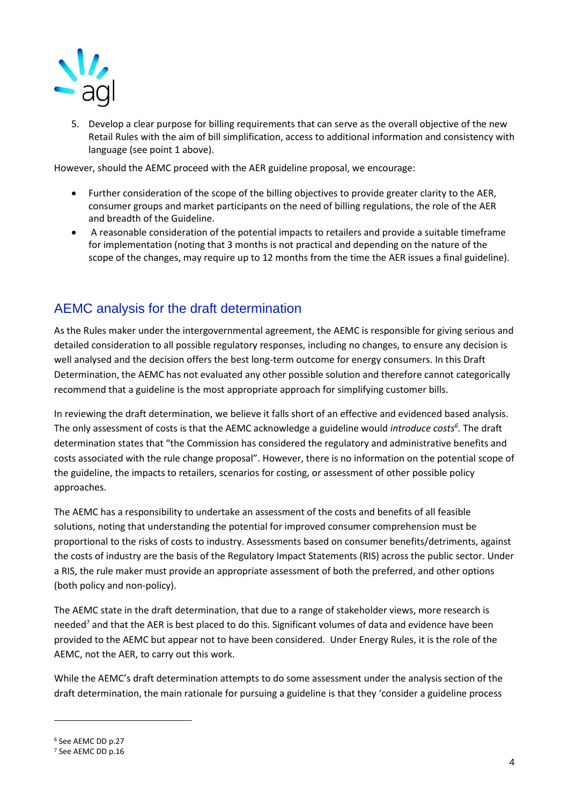

5. Develop a clear purpose for billing requirements that can serve as the overall objective of the new Retail Rules with the aim of bill simplification, access to additional information and consistency with language (see point 1 above).

However, should the AEMC proceed with the AER guideline proposal, we encourage:

- Further consideration of the scope of the billing objectives to provide greater clarity to the AER, consumer groups and market participants on the need of billing regulations, the role of the AER and breadth of the Guideline.
- A reasonable consideration of the potential impacts to retailers and provide a suitable timeframe for implementation (noting that 3 months is not practical and depending on the nature of the scope of the changes, may require up to 12 months from the time the AER issues a final guideline).

# AEMC analysis for the draft determination

As the Rules maker under the intergovernmental agreement, the AEMC is responsible for giving serious and detailed consideration to all possible regulatory responses, including no changes, to ensure any decision is well analysed and the decision offers the best long-term outcome for energy consumers. In this Draft Determination, the AEMC has not evaluated any other possible solution and therefore cannot categorically recommend that a guideline is the most appropriate approach for simplifying customer bills.

In reviewing the draft determination, we believe it falls short of an effective and evidenced based analysis. The only assessment of costs is that the AEMC acknowledge a guideline would *introduce costs<sup>6</sup> .* The draft determination states that "the Commission has considered the regulatory and administrative benefits and costs associated with the rule change proposal". However, there is no information on the potential scope of the guideline, the impacts to retailers, scenarios for costing, or assessment of other possible policy approaches.

The AEMC has a responsibility to undertake an assessment of the costs and benefits of all feasible solutions, noting that understanding the potential for improved consumer comprehension must be proportional to the risks of costs to industry. Assessments based on consumer benefits/detriments, against the costs of industry are the basis of the Regulatory Impact Statements (RIS) across the public sector. Under a RIS, the rule maker must provide an appropriate assessment of both the preferred, and other options (both policy and non-policy).

The AEMC state in the draft determination, that due to a range of stakeholder views, more research is needed<sup>7</sup> and that the AER is best placed to do this. Significant volumes of data and evidence have been provided to the AEMC but appear not to have been considered. Under Energy Rules, it is the role of the AEMC, not the AER, to carry out this work.

While the AEMC's draft determination attempts to do some assessment under the analysis section of the draft determination, the main rationale for pursuing a guideline is that they 'consider a guideline process

<sup>6</sup> See AEMC DD p.27

<sup>7</sup> See AEMC DD p.16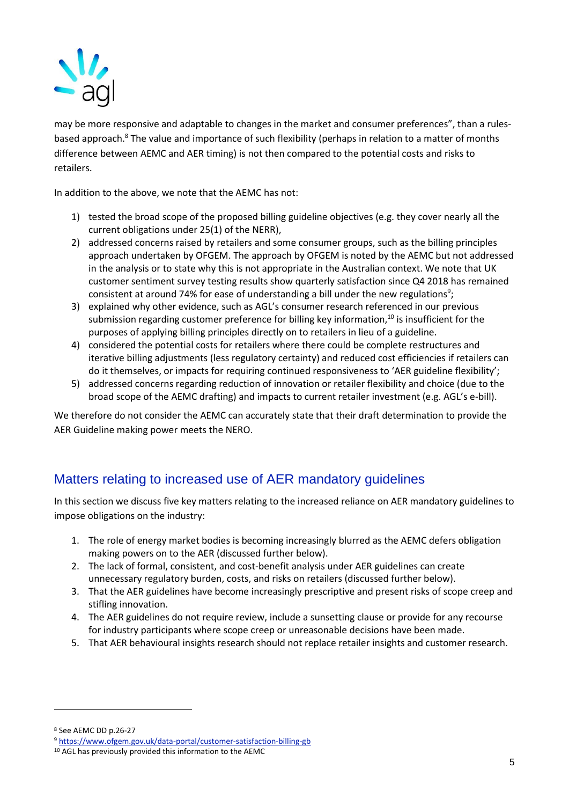

may be more responsive and adaptable to changes in the market and consumer preferences", than a rulesbased approach.<sup>8</sup> The value and importance of such flexibility (perhaps in relation to a matter of months difference between AEMC and AER timing) is not then compared to the potential costs and risks to retailers.

In addition to the above, we note that the AEMC has not:

- 1) tested the broad scope of the proposed billing guideline objectives (e.g. they cover nearly all the current obligations under 25(1) of the NERR),
- 2) addressed concerns raised by retailers and some consumer groups, such as the billing principles approach undertaken by OFGEM. The approach by OFGEM is noted by the AEMC but not addressed in the analysis or to state why this is not appropriate in the Australian context. We note that UK customer sentiment survey testing results show quarterly satisfaction since Q4 2018 has remained consistent at around 74% for ease of understanding a bill under the new regulations<sup>9</sup>;
- 3) explained why other evidence, such as AGL's consumer research referenced in our previous submission regarding customer preference for billing key information, $10$  is insufficient for the purposes of applying billing principles directly on to retailers in lieu of a guideline.
- 4) considered the potential costs for retailers where there could be complete restructures and iterative billing adjustments (less regulatory certainty) and reduced cost efficiencies if retailers can do it themselves, or impacts for requiring continued responsiveness to 'AER guideline flexibility';
- 5) addressed concerns regarding reduction of innovation or retailer flexibility and choice (due to the broad scope of the AEMC drafting) and impacts to current retailer investment (e.g. AGL's e-bill).

We therefore do not consider the AEMC can accurately state that their draft determination to provide the AER Guideline making power meets the NERO.

# Matters relating to increased use of AER mandatory guidelines

In this section we discuss five key matters relating to the increased reliance on AER mandatory guidelines to impose obligations on the industry:

- 1. The role of energy market bodies is becoming increasingly blurred as the AEMC defers obligation making powers on to the AER (discussed further below).
- 2. The lack of formal, consistent, and cost-benefit analysis under AER guidelines can create unnecessary regulatory burden, costs, and risks on retailers (discussed further below).
- 3. That the AER guidelines have become increasingly prescriptive and present risks of scope creep and stifling innovation.
- 4. The AER guidelines do not require review, include a sunsetting clause or provide for any recourse for industry participants where scope creep or unreasonable decisions have been made.
- 5. That AER behavioural insights research should not replace retailer insights and customer research.

<sup>8</sup> See AEMC DD p.26-27

<sup>9</sup> <https://www.ofgem.gov.uk/data-portal/customer-satisfaction-billing-gb>

<sup>10</sup> AGL has previously provided this information to the AEMC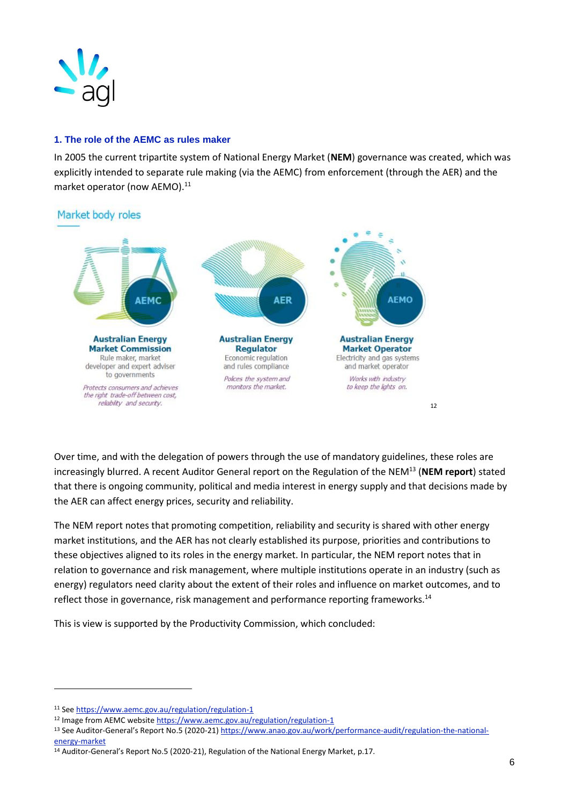

## **1. The role of the AEMC as rules maker**

In 2005 the current tripartite system of National Energy Market (**NEM**) governance was created, which was explicitly intended to separate rule making (via the AEMC) from enforcement (through the AER) and the market operator (now AEMO).<sup>11</sup>

# Market body roles



Over time, and with the delegation of powers through the use of mandatory guidelines, these roles are increasingly blurred. A recent Auditor General report on the Regulation of the NEM<sup>13</sup> (**NEM report**) stated that there is ongoing community, political and media interest in energy supply and that decisions made by the AER can affect energy prices, security and reliability.

The NEM report notes that promoting competition, reliability and security is shared with other energy market institutions, and the AER has not clearly established its purpose, priorities and contributions to these objectives aligned to its roles in the energy market. In particular, the NEM report notes that in relation to governance and risk management, where multiple institutions operate in an industry (such as energy) regulators need clarity about the extent of their roles and influence on market outcomes, and to reflect those in governance, risk management and performance reporting frameworks.<sup>14</sup>

This is view is supported by the Productivity Commission, which concluded:

<sup>11</sup> See<https://www.aemc.gov.au/regulation/regulation-1>

<sup>&</sup>lt;sup>12</sup> Image from AEMC website<https://www.aemc.gov.au/regulation/regulation-1>

<sup>13</sup> See Auditor-General's Report No.5 (2020-21) [https://www.anao.gov.au/work/performance-audit/regulation-the-national](https://www.anao.gov.au/work/performance-audit/regulation-the-national-energy-market)[energy-market](https://www.anao.gov.au/work/performance-audit/regulation-the-national-energy-market)

<sup>14</sup> Auditor-General's Report No.5 (2020-21), Regulation of the National Energy Market, p.17.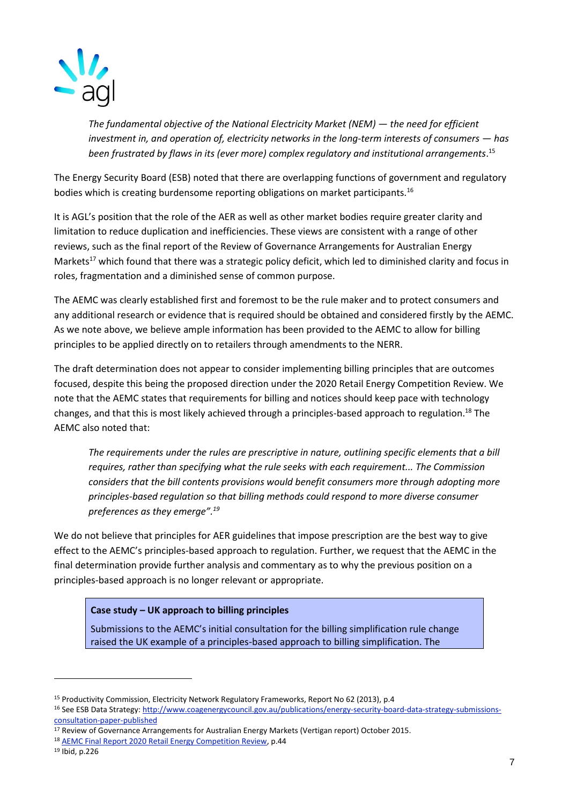

*The fundamental objective of the National Electricity Market (NEM) — the need for efficient investment in, and operation of, electricity networks in the long-term interests of consumers — has been frustrated by flaws in its (ever more) complex regulatory and institutional arrangements*. 15

The Energy Security Board (ESB) noted that there are overlapping functions of government and regulatory bodies which is creating burdensome reporting obligations on market participants.<sup>16</sup>

It is AGL's position that the role of the AER as well as other market bodies require greater clarity and limitation to reduce duplication and inefficiencies. These views are consistent with a range of other reviews, such as the final report of the Review of Governance Arrangements for Australian Energy Markets<sup>17</sup> which found that there was a strategic policy deficit, which led to diminished clarity and focus in roles, fragmentation and a diminished sense of common purpose.

The AEMC was clearly established first and foremost to be the rule maker and to protect consumers and any additional research or evidence that is required should be obtained and considered firstly by the AEMC. As we note above, we believe ample information has been provided to the AEMC to allow for billing principles to be applied directly on to retailers through amendments to the NERR.

The draft determination does not appear to consider implementing billing principles that are outcomes focused, despite this being the proposed direction under the 2020 Retail Energy Competition Review. We note that the AEMC states that requirements for billing and notices should keep pace with technology changes, and that this is most likely achieved through a principles-based approach to regulation.<sup>18</sup> The AEMC also noted that:

*The requirements under the rules are prescriptive in nature, outlining specific elements that a bill requires, rather than specifying what the rule seeks with each requirement... The Commission considers that the bill contents provisions would benefit consumers more through adopting more principles-based regulation so that billing methods could respond to more diverse consumer preferences as they emerge".<sup>19</sup>*

We do not believe that principles for AER guidelines that impose prescription are the best way to give effect to the AEMC's principles-based approach to regulation. Further, we request that the AEMC in the final determination provide further analysis and commentary as to why the previous position on a principles-based approach is no longer relevant or appropriate.

## **Case study – UK approach to billing principles**

Submissions to the AEMC's initial consultation for the billing simplification rule change raised the UK example of a principles-based approach to billing simplification. The

<sup>&</sup>lt;sup>15</sup> Productivity Commission, Electricity Network Regulatory Frameworks, Report No 62 (2013), p.4

<sup>&</sup>lt;sup>16</sup> See ESB Data Strategy[: http://www.coagenergycouncil.gov.au/publications/energy-security-board-data-strategy-submissions](http://www.coagenergycouncil.gov.au/publications/energy-security-board-data-strategy-submissions-consultation-paper-published)[consultation-paper-published](http://www.coagenergycouncil.gov.au/publications/energy-security-board-data-strategy-submissions-consultation-paper-published)

<sup>17</sup> Review of Governance Arrangements for Australian Energy Markets (Vertigan report) October 2015.

<sup>18</sup> [AEMC Final Report 2020 Retail Energy Competition Review,](mailto:https://www.aemc.gov.au/sites/default/files/documents/2020_retail_energy_competition_review_-_final_report.pdf) p.44

<sup>19</sup> Ibid, p.226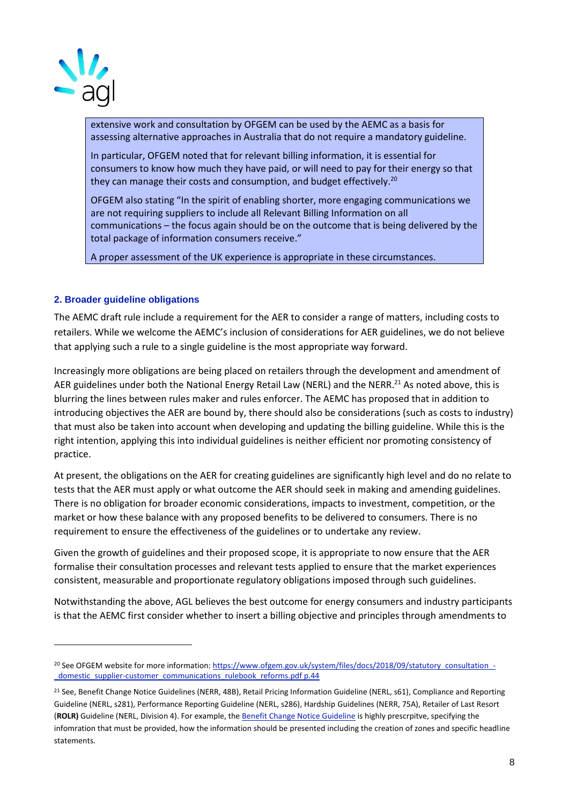

extensive work and consultation by OFGEM can be used by the AEMC as a basis for assessing alternative approaches in Australia that do not require a mandatory guideline.

In particular, OFGEM noted that for relevant billing information, it is essential for consumers to know how much they have paid, or will need to pay for their energy so that they can manage their costs and consumption, and budget effectively.<sup>20</sup>

OFGEM also stating "In the spirit of enabling shorter, more engaging communications we are not requiring suppliers to include all Relevant Billing Information on all communications – the focus again should be on the outcome that is being delivered by the total package of information consumers receive."

A proper assessment of the UK experience is appropriate in these circumstances.

## **2. Broader guideline obligations**

The AEMC draft rule include a requirement for the AER to consider a range of matters, including costs to retailers. While we welcome the AEMC's inclusion of considerations for AER guidelines, we do not believe that applying such a rule to a single guideline is the most appropriate way forward.

Increasingly more obligations are being placed on retailers through the development and amendment of AER guidelines under both the National Energy Retail Law (NERL) and the NERR.<sup>21</sup> As noted above, this is blurring the lines between rules maker and rules enforcer. The AEMC has proposed that in addition to introducing objectives the AER are bound by, there should also be considerations (such as costs to industry) that must also be taken into account when developing and updating the billing guideline. While this is the right intention, applying this into individual guidelines is neither efficient nor promoting consistency of practice.

At present, the obligations on the AER for creating guidelines are significantly high level and do no relate to tests that the AER must apply or what outcome the AER should seek in making and amending guidelines. There is no obligation for broader economic considerations, impacts to investment, competition, or the market or how these balance with any proposed benefits to be delivered to consumers. There is no requirement to ensure the effectiveness of the guidelines or to undertake any review.

Given the growth of guidelines and their proposed scope, it is appropriate to now ensure that the AER formalise their consultation processes and relevant tests applied to ensure that the market experiences consistent, measurable and proportionate regulatory obligations imposed through such guidelines.

Notwithstanding the above, AGL believes the best outcome for energy consumers and industry participants is that the AEMC first consider whether to insert a billing objective and principles through amendments to

<sup>&</sup>lt;sup>20</sup> See OFGEM website for more information: [https://www.ofgem.gov.uk/system/files/docs/2018/09/statutory\\_consultation\\_-](https://www.ofgem.gov.uk/system/files/docs/2018/09/statutory_consultation_-_domestic_supplier-customer_communications_rulebook_reforms.pdf%20p.44) [\\_domestic\\_supplier-customer\\_communications\\_rulebook\\_reforms.pdf p.44](https://www.ofgem.gov.uk/system/files/docs/2018/09/statutory_consultation_-_domestic_supplier-customer_communications_rulebook_reforms.pdf%20p.44)

<sup>&</sup>lt;sup>21</sup> See, Benefit Change Notice Guidelines (NERR, 48B), Retail Pricing Information Guideline (NERL, s61), Compliance and Reporting Guideline (NERL, s281), Performance Reporting Guideline (NERL, s286), Hardship Guidelines (NERR, 75A), Retailer of Last Resort (**ROLR)** Guideline (NERL, Division 4). For example, th[e Benefit Change Notice Guideline](https://www.aer.gov.au/system/files/AER%20Benefit%20Change%20Notice%20Guidelines%20-%20June%202018_0.pdf) is highly prescrpitve, specifying the infomration that must be provided, how the information should be presented including the creation of zones and specific headline statements.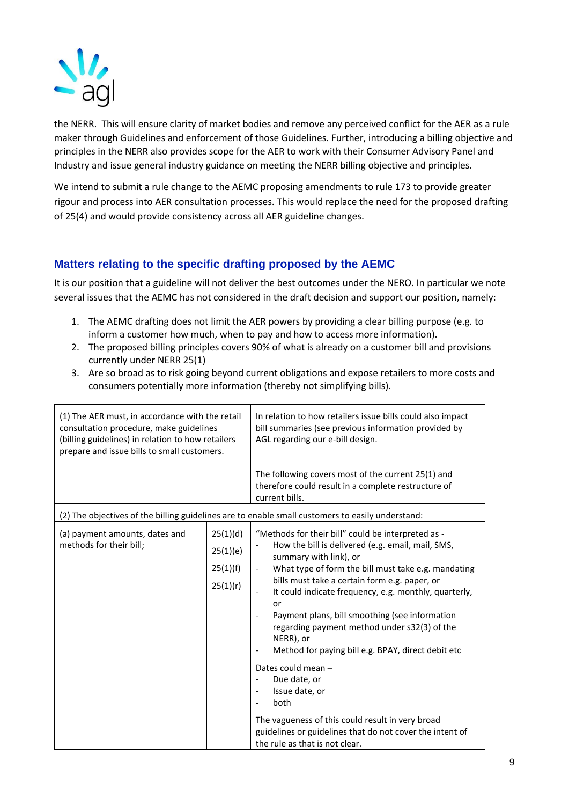

the NERR. This will ensure clarity of market bodies and remove any perceived conflict for the AER as a rule maker through Guidelines and enforcement of those Guidelines. Further, introducing a billing objective and principles in the NERR also provides scope for the AER to work with their Consumer Advisory Panel and Industry and issue general industry guidance on meeting the NERR billing objective and principles.

We intend to submit a rule change to the AEMC proposing amendments to rule 173 to provide greater rigour and process into AER consultation processes. This would replace the need for the proposed drafting of 25(4) and would provide consistency across all AER guideline changes.

# **Matters relating to the specific drafting proposed by the AEMC**

It is our position that a guideline will not deliver the best outcomes under the NERO. In particular we note several issues that the AEMC has not considered in the draft decision and support our position, namely:

- 1. The AEMC drafting does not limit the AER powers by providing a clear billing purpose (e.g. to inform a customer how much, when to pay and how to access more information).
- 2. The proposed billing principles covers 90% of what is already on a customer bill and provisions currently under NERR 25(1)
- 3. Are so broad as to risk going beyond current obligations and expose retailers to more costs and consumers potentially more information (thereby not simplifying bills).

| (1) The AER must, in accordance with the retail<br>consultation procedure, make guidelines<br>(billing guidelines) in relation to how retailers<br>prepare and issue bills to small customers. |                                              | In relation to how retailers issue bills could also impact<br>bill summaries (see previous information provided by<br>AGL regarding our e-bill design.                                                                                                                                                                                                                                                                                                                        |  |  |
|------------------------------------------------------------------------------------------------------------------------------------------------------------------------------------------------|----------------------------------------------|-------------------------------------------------------------------------------------------------------------------------------------------------------------------------------------------------------------------------------------------------------------------------------------------------------------------------------------------------------------------------------------------------------------------------------------------------------------------------------|--|--|
|                                                                                                                                                                                                |                                              | The following covers most of the current 25(1) and<br>therefore could result in a complete restructure of<br>current bills.                                                                                                                                                                                                                                                                                                                                                   |  |  |
| (2) The objectives of the billing guidelines are to enable small customers to easily understand:                                                                                               |                                              |                                                                                                                                                                                                                                                                                                                                                                                                                                                                               |  |  |
| (a) payment amounts, dates and<br>methods for their bill;                                                                                                                                      | 25(1)(d)<br>25(1)(e)<br>25(1)(f)<br>25(1)(r) | "Methods for their bill" could be interpreted as -<br>How the bill is delivered (e.g. email, mail, SMS,<br>summary with link), or<br>What type of form the bill must take e.g. mandating<br>bills must take a certain form e.g. paper, or<br>It could indicate frequency, e.g. monthly, quarterly,<br>or<br>Payment plans, bill smoothing (see information<br>regarding payment method under s32(3) of the<br>NERR), or<br>Method for paying bill e.g. BPAY, direct debit etc |  |  |
|                                                                                                                                                                                                |                                              | Dates could mean -<br>Due date, or<br>Issue date, or<br>$\overline{\phantom{a}}$<br>both<br>The vagueness of this could result in very broad<br>guidelines or guidelines that do not cover the intent of<br>the rule as that is not clear.                                                                                                                                                                                                                                    |  |  |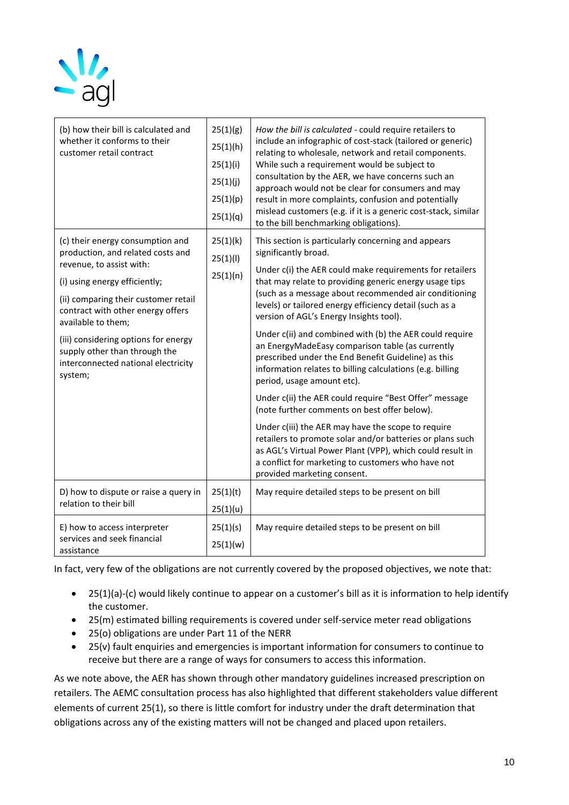

| (b) how their bill is calculated and<br>whether it conforms to their<br>customer retail contract                                                                                                                                                                                                                                                                 | 25(1)(g)<br>25(1)(h)<br>25(1)(i)<br>25(1)(j)<br>25(1)(p)<br>25(1)(q) | How the bill is calculated - could require retailers to<br>include an infographic of cost-stack (tailored or generic)<br>relating to wholesale, network and retail components.<br>While such a requirement would be subject to<br>consultation by the AER, we have concerns such an<br>approach would not be clear for consumers and may<br>result in more complaints, confusion and potentially<br>mislead customers (e.g. if it is a generic cost-stack, similar<br>to the bill benchmarking obligations).                                                                                                                                                                                                                                                                                                                                                                                                                                                                                                     |
|------------------------------------------------------------------------------------------------------------------------------------------------------------------------------------------------------------------------------------------------------------------------------------------------------------------------------------------------------------------|----------------------------------------------------------------------|------------------------------------------------------------------------------------------------------------------------------------------------------------------------------------------------------------------------------------------------------------------------------------------------------------------------------------------------------------------------------------------------------------------------------------------------------------------------------------------------------------------------------------------------------------------------------------------------------------------------------------------------------------------------------------------------------------------------------------------------------------------------------------------------------------------------------------------------------------------------------------------------------------------------------------------------------------------------------------------------------------------|
| (c) their energy consumption and<br>production, and related costs and<br>revenue, to assist with:<br>(i) using energy efficiently;<br>(ii) comparing their customer retail<br>contract with other energy offers<br>available to them;<br>(iii) considering options for energy<br>supply other than through the<br>interconnected national electricity<br>system; | 25(1)(k)<br>25(1)(1)<br>25(1)(n)                                     | This section is particularly concerning and appears<br>significantly broad.<br>Under c(i) the AER could make requirements for retailers<br>that may relate to providing generic energy usage tips<br>(such as a message about recommended air conditioning<br>levels) or tailored energy efficiency detail (such as a<br>version of AGL's Energy Insights tool).<br>Under c(ii) and combined with (b) the AER could require<br>an EnergyMadeEasy comparison table (as currently<br>prescribed under the End Benefit Guideline) as this<br>information relates to billing calculations (e.g. billing<br>period, usage amount etc).<br>Under c(ii) the AER could require "Best Offer" message<br>(note further comments on best offer below).<br>Under c(iii) the AER may have the scope to require<br>retailers to promote solar and/or batteries or plans such<br>as AGL's Virtual Power Plant (VPP), which could result in<br>a conflict for marketing to customers who have not<br>provided marketing consent. |
| D) how to dispute or raise a query in<br>relation to their bill                                                                                                                                                                                                                                                                                                  | 25(1)(t)<br>25(1)(u)                                                 | May require detailed steps to be present on bill                                                                                                                                                                                                                                                                                                                                                                                                                                                                                                                                                                                                                                                                                                                                                                                                                                                                                                                                                                 |
| E) how to access interpreter<br>services and seek financial<br>assistance                                                                                                                                                                                                                                                                                        | 25(1)(s)<br>25(1)(w)                                                 | May require detailed steps to be present on bill                                                                                                                                                                                                                                                                                                                                                                                                                                                                                                                                                                                                                                                                                                                                                                                                                                                                                                                                                                 |

In fact, very few of the obligations are not currently covered by the proposed objectives, we note that:

- 25(1)(a)-(c) would likely continue to appear on a customer's bill as it is information to help identify the customer.
- 25(m) estimated billing requirements is covered under self-service meter read obligations
- 25(o) obligations are under Part 11 of the NERR
- 25(v) fault enquiries and emergencies is important information for consumers to continue to receive but there are a range of ways for consumers to access this information.

As we note above, the AER has shown through other mandatory guidelines increased prescription on retailers. The AEMC consultation process has also highlighted that different stakeholders value different elements of current 25(1), so there is little comfort for industry under the draft determination that obligations across any of the existing matters will not be changed and placed upon retailers.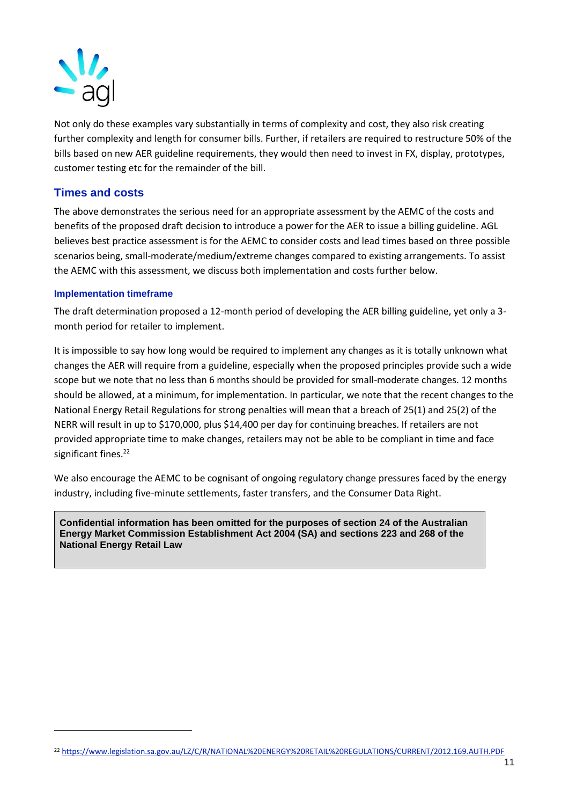

Not only do these examples vary substantially in terms of complexity and cost, they also risk creating further complexity and length for consumer bills. Further, if retailers are required to restructure 50% of the bills based on new AER guideline requirements, they would then need to invest in FX, display, prototypes, customer testing etc for the remainder of the bill.

# **Times and costs**

The above demonstrates the serious need for an appropriate assessment by the AEMC of the costs and benefits of the proposed draft decision to introduce a power for the AER to issue a billing guideline. AGL believes best practice assessment is for the AEMC to consider costs and lead times based on three possible scenarios being, small-moderate/medium/extreme changes compared to existing arrangements. To assist the AEMC with this assessment, we discuss both implementation and costs further below.

#### **Implementation timeframe**

The draft determination proposed a 12-month period of developing the AER billing guideline, yet only a 3 month period for retailer to implement.

It is impossible to say how long would be required to implement any changes as it is totally unknown what changes the AER will require from a guideline, especially when the proposed principles provide such a wide scope but we note that no less than 6 months should be provided for small-moderate changes. 12 months should be allowed, at a minimum, for implementation. In particular, we note that the recent changes to the National Energy Retail Regulations for strong penalties will mean that a breach of 25(1) and 25(2) of the NERR will result in up to \$170,000, plus \$14,400 per day for continuing breaches. If retailers are not provided appropriate time to make changes, retailers may not be able to be compliant in time and face significant fines.<sup>22</sup>

We also encourage the AEMC to be cognisant of ongoing regulatory change pressures faced by the energy industry, including five-minute settlements, faster transfers, and the Consumer Data Right.

**Confidential information has been omitted for the purposes of section 24 of the Australian Energy Market Commission Establishment Act 2004 (SA) and sections 223 and 268 of the National Energy Retail Law**

<sup>22</sup> <https://www.legislation.sa.gov.au/LZ/C/R/NATIONAL%20ENERGY%20RETAIL%20REGULATIONS/CURRENT/2012.169.AUTH.PDF>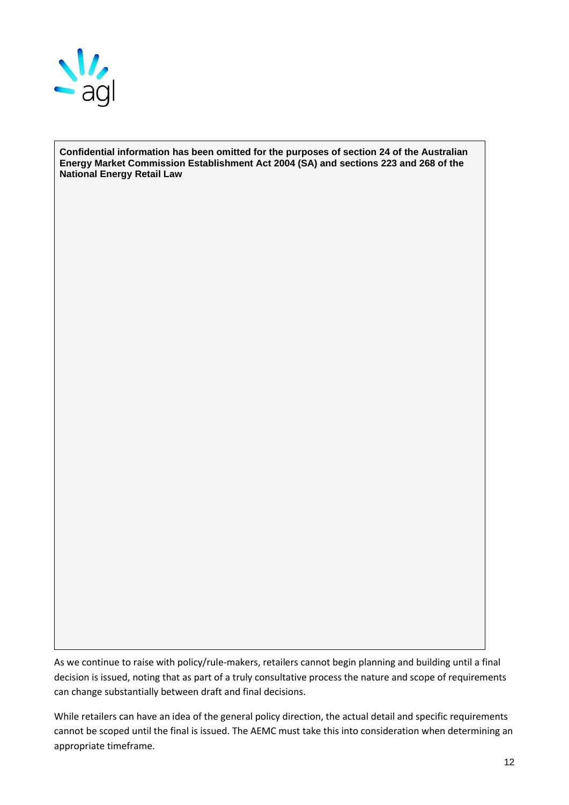

**Confidential information has been omitted for the purposes of section 24 of the Australian Energy Market Commission Establishment Act 2004 (SA) and sections 223 and 268 of the National Energy Retail Law**

As we continue to raise with policy/rule-makers, retailers cannot begin planning and building until a final decision is issued, noting that as part of a truly consultative process the nature and scope of requirements can change substantially between draft and final decisions.

While retailers can have an idea of the general policy direction, the actual detail and specific requirements cannot be scoped until the final is issued. The AEMC must take this into consideration when determining an appropriate timeframe.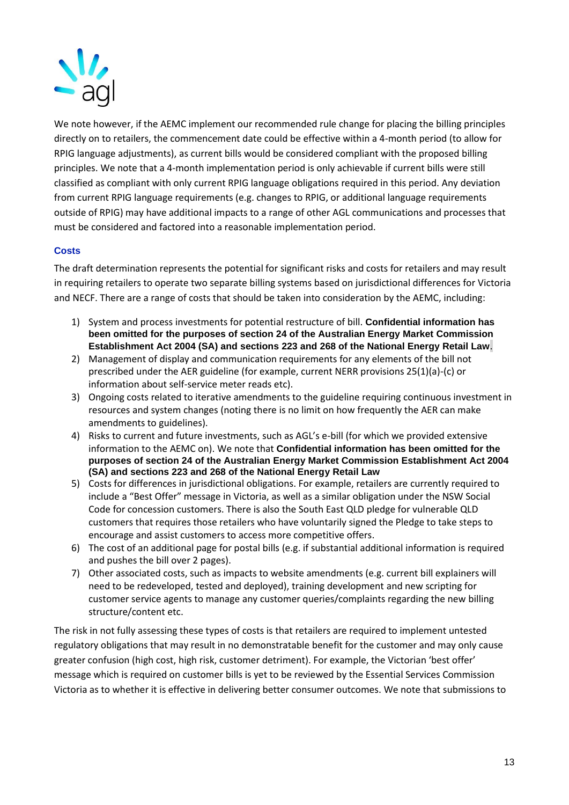

We note however, if the AEMC implement our recommended rule change for placing the billing principles directly on to retailers, the commencement date could be effective within a 4-month period (to allow for RPIG language adjustments), as current bills would be considered compliant with the proposed billing principles. We note that a 4-month implementation period is only achievable if current bills were still classified as compliant with only current RPIG language obligations required in this period. Any deviation from current RPIG language requirements (e.g. changes to RPIG, or additional language requirements outside of RPIG) may have additional impacts to a range of other AGL communications and processes that must be considered and factored into a reasonable implementation period.

#### **Costs**

The draft determination represents the potential for significant risks and costs for retailers and may result in requiring retailers to operate two separate billing systems based on jurisdictional differences for Victoria and NECF. There are a range of costs that should be taken into consideration by the AEMC, including:

- 1) System and process investments for potential restructure of bill. **Confidential information has been omitted for the purposes of section 24 of the Australian Energy Market Commission Establishment Act 2004 (SA) and sections 223 and 268 of the National Energy Retail Law**.
- 2) Management of display and communication requirements for any elements of the bill not prescribed under the AER guideline (for example, current NERR provisions 25(1)(a)-(c) or information about self-service meter reads etc).
- 3) Ongoing costs related to iterative amendments to the guideline requiring continuous investment in resources and system changes (noting there is no limit on how frequently the AER can make amendments to guidelines).
- 4) Risks to current and future investments, such as AGL's e-bill (for which we provided extensive information to the AEMC on). We note that **Confidential information has been omitted for the purposes of section 24 of the Australian Energy Market Commission Establishment Act 2004 (SA) and sections 223 and 268 of the National Energy Retail Law**
- 5) Costs for differences in jurisdictional obligations. For example, retailers are currently required to include a "Best Offer" message in Victoria, as well as a similar obligation under the NSW Social Code for concession customers. There is also the South East QLD pledge for vulnerable QLD customers that requires those retailers who have voluntarily signed the Pledge to take steps to encourage and assist customers to access more competitive offers.
- 6) The cost of an additional page for postal bills (e.g. if substantial additional information is required and pushes the bill over 2 pages).
- 7) Other associated costs, such as impacts to website amendments (e.g. current bill explainers will need to be redeveloped, tested and deployed), training development and new scripting for customer service agents to manage any customer queries/complaints regarding the new billing structure/content etc.

The risk in not fully assessing these types of costs is that retailers are required to implement untested regulatory obligations that may result in no demonstratable benefit for the customer and may only cause greater confusion (high cost, high risk, customer detriment). For example, the Victorian 'best offer' message which is required on customer bills is yet to be reviewed by the Essential Services Commission Victoria as to whether it is effective in delivering better consumer outcomes. We note that submissions to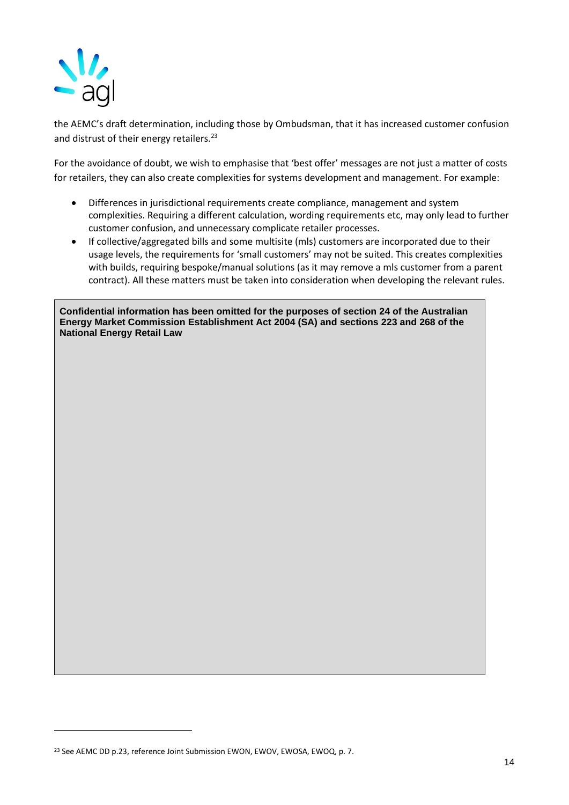

the AEMC's draft determination, including those by Ombudsman, that it has increased customer confusion and distrust of their energy retailers.<sup>23</sup>

For the avoidance of doubt, we wish to emphasise that 'best offer' messages are not just a matter of costs for retailers, they can also create complexities for systems development and management. For example:

- Differences in jurisdictional requirements create compliance, management and system complexities. Requiring a different calculation, wording requirements etc, may only lead to further customer confusion, and unnecessary complicate retailer processes.
- If collective/aggregated bills and some multisite (mls) customers are incorporated due to their usage levels, the requirements for 'small customers' may not be suited. This creates complexities with builds, requiring bespoke/manual solutions (as it may remove a mls customer from a parent contract). All these matters must be taken into consideration when developing the relevant rules.

**Confidential information has been omitted for the purposes of section 24 of the Australian Energy Market Commission Establishment Act 2004 (SA) and sections 223 and 268 of the National Energy Retail Law**

<sup>&</sup>lt;sup>23</sup> See AEMC DD p.23, reference Joint Submission EWON, EWOV, EWOSA, EWOQ, p. 7.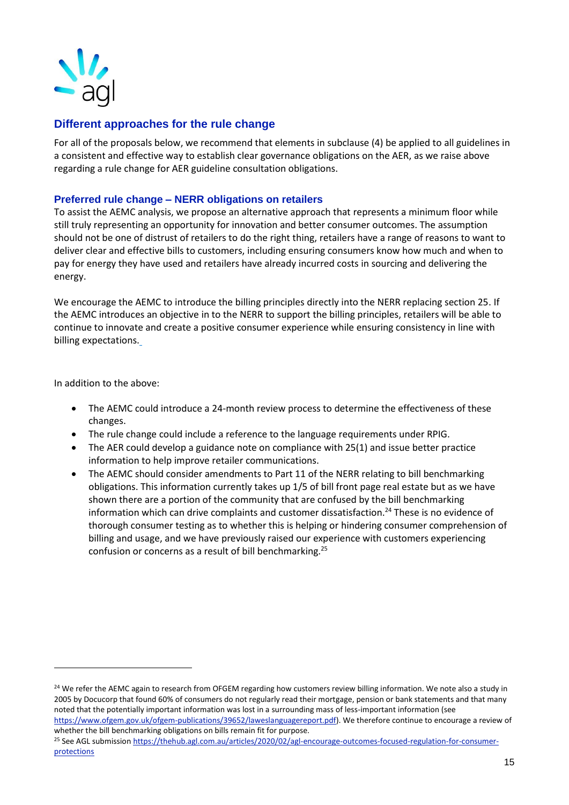

# **Different approaches for the rule change**

For all of the proposals below, we recommend that elements in subclause (4) be applied to all guidelines in a consistent and effective way to establish clear governance obligations on the AER, as we raise above regarding a rule change for AER guideline consultation obligations.

## **Preferred rule change – NERR obligations on retailers**

To assist the AEMC analysis, we propose an alternative approach that represents a minimum floor while still truly representing an opportunity for innovation and better consumer outcomes. The assumption should not be one of distrust of retailers to do the right thing, retailers have a range of reasons to want to deliver clear and effective bills to customers, including ensuring consumers know how much and when to pay for energy they have used and retailers have already incurred costs in sourcing and delivering the energy.

We encourage the AEMC to introduce the billing principles directly into the NERR replacing section 25. If the AEMC introduces an objective in to the NERR to support the billing principles, retailers will be able to continue to innovate and create a positive consumer experience while ensuring consistency in line with billing expectations.

In addition to the above:

- The AEMC could introduce a 24-month review process to determine the effectiveness of these changes.
- The rule change could include a reference to the language requirements under RPIG.
- The AER could develop a guidance note on compliance with 25(1) and issue better practice information to help improve retailer communications.
- The AEMC should consider amendments to Part 11 of the NERR relating to bill benchmarking obligations. This information currently takes up 1/5 of bill front page real estate but as we have shown there are a portion of the community that are confused by the bill benchmarking information which can drive complaints and customer dissatisfaction.<sup>24</sup> These is no evidence of thorough consumer testing as to whether this is helping or hindering consumer comprehension of billing and usage, and we have previously raised our experience with customers experiencing confusion or concerns as a result of bill benchmarking.<sup>25</sup>

<sup>&</sup>lt;sup>24</sup> We refer the AEMC again to research from OFGEM regarding how customers review billing information. We note also a study in 2005 by Docucorp that found 60% of consumers do not regularly read their mortgage, pension or bank statements and that many noted that the potentially important information was lost in a surrounding mass of less-important information (see

[https://www.ofgem.gov.uk/ofgem-publications/39652/laweslanguagereport.pdf\)](https://www.ofgem.gov.uk/ofgem-publications/39652/laweslanguagereport.pdf). We therefore continue to encourage a review of whether the bill benchmarking obligations on bills remain fit for purpose.

<sup>&</sup>lt;sup>25</sup> See AGL submissio[n https://thehub.agl.com.au/articles/2020/02/agl-encourage-outcomes-focused-regulation-for-consumer](https://thehub.agl.com.au/articles/2020/02/agl-encourage-outcomes-focused-regulation-for-consumer-protections)[protections](https://thehub.agl.com.au/articles/2020/02/agl-encourage-outcomes-focused-regulation-for-consumer-protections)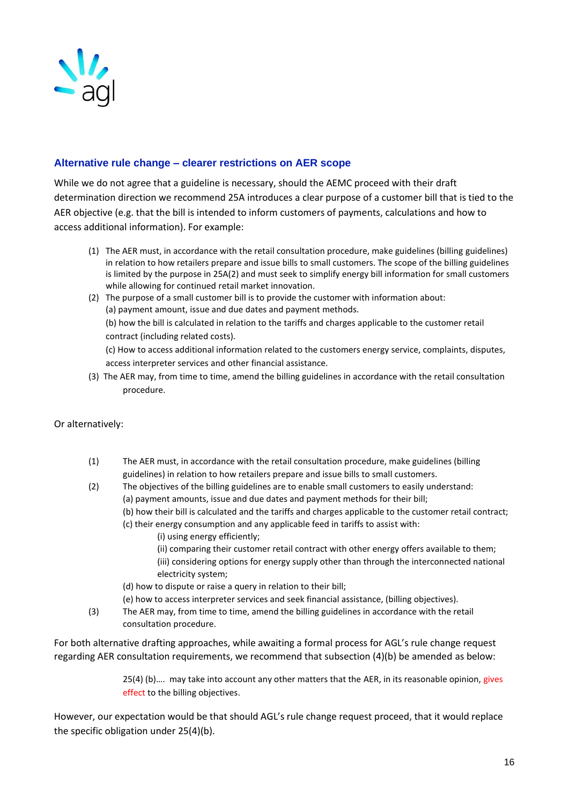

# **Alternative rule change – clearer restrictions on AER scope**

While we do not agree that a guideline is necessary, should the AEMC proceed with their draft determination direction we recommend 25A introduces a clear purpose of a customer bill that is tied to the AER objective (e.g. that the bill is intended to inform customers of payments, calculations and how to access additional information). For example:

- (1) The AER must, in accordance with the retail consultation procedure, make guidelines (billing guidelines) in relation to how retailers prepare and issue bills to small customers. The scope of the billing guidelines is limited by the purpose in 25A(2) and must seek to simplify energy bill information for small customers while allowing for continued retail market innovation.
- (2) The purpose of a small customer bill is to provide the customer with information about: (a) payment amount, issue and due dates and payment methods. (b) how the bill is calculated in relation to the tariffs and charges applicable to the customer retail contract (including related costs).

(c) How to access additional information related to the customers energy service, complaints, disputes, access interpreter services and other financial assistance.

(3) The AER may, from time to time, amend the billing guidelines in accordance with the retail consultation procedure.

## Or alternatively:

- (1) The AER must, in accordance with the retail consultation procedure, make guidelines (billing guidelines) in relation to how retailers prepare and issue bills to small customers.
- (2) The objectives of the billing guidelines are to enable small customers to easily understand:
	- (a) payment amounts, issue and due dates and payment methods for their bill;
	- (b) how their bill is calculated and the tariffs and charges applicable to the customer retail contract;
	- (c) their energy consumption and any applicable feed in tariffs to assist with:
		- (i) using energy efficiently;
		- (ii) comparing their customer retail contract with other energy offers available to them;
		- (iii) considering options for energy supply other than through the interconnected national electricity system;
	- (d) how to dispute or raise a query in relation to their bill;
	- (e) how to access interpreter services and seek financial assistance, (billing objectives).
- (3) The AER may, from time to time, amend the billing guidelines in accordance with the retail consultation procedure.

For both alternative drafting approaches, while awaiting a formal process for AGL's rule change request regarding AER consultation requirements, we recommend that subsection (4)(b) be amended as below:

> 25(4) (b)…. may take into account any other matters that the AER, in its reasonable opinion, gives effect to the billing objectives.

However, our expectation would be that should AGL's rule change request proceed, that it would replace the specific obligation under 25(4)(b).